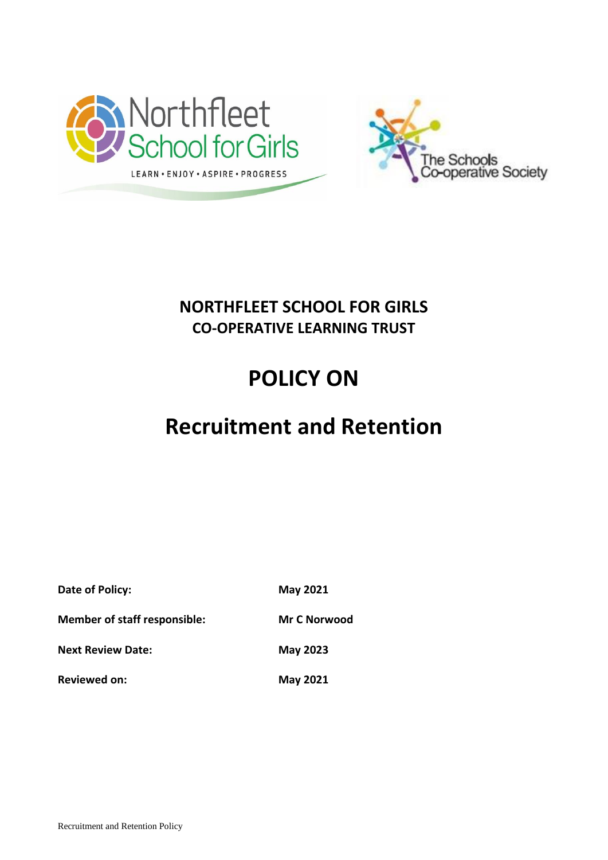



# **NORTHFLEET SCHOOL FOR GIRLS CO-OPERATIVE LEARNING TRUST**

# **POLICY ON**

# **Recruitment and Retention**

| Date of Policy:                     | <b>May 2021</b>     |
|-------------------------------------|---------------------|
| <b>Member of staff responsible:</b> | <b>Mr C Norwood</b> |
| <b>Next Review Date:</b>            | <b>May 2023</b>     |
| <b>Reviewed on:</b>                 | <b>May 2021</b>     |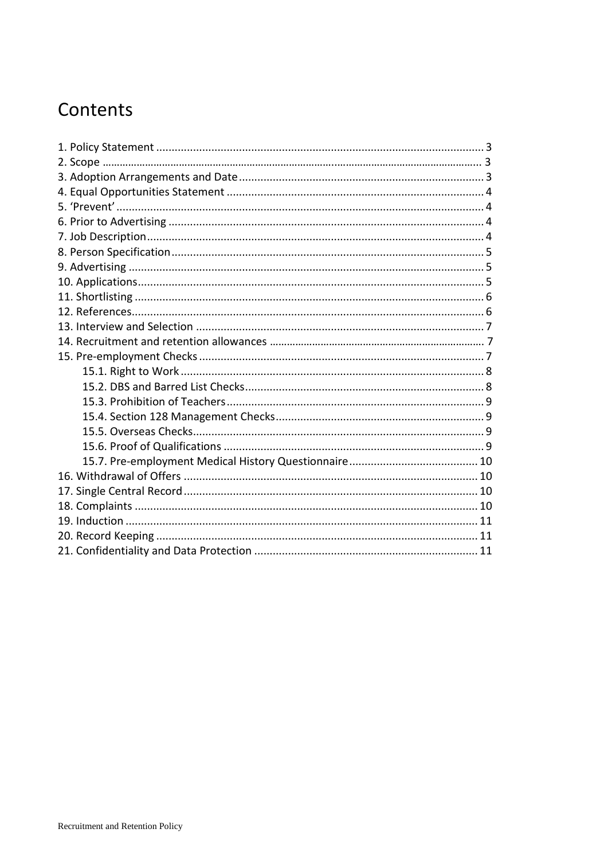# Contents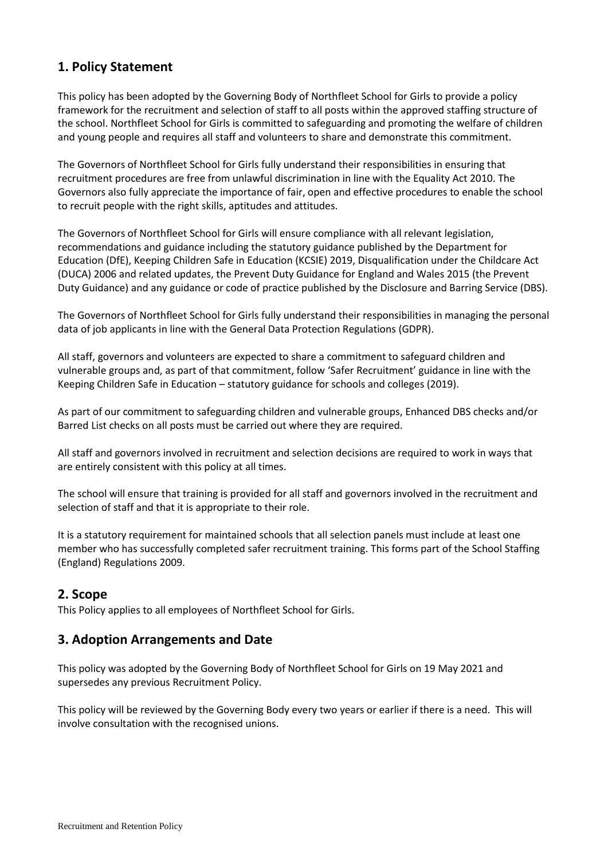# <span id="page-2-0"></span>**1. Policy Statement**

This policy has been adopted by the Governing Body of Northfleet School for Girls to provide a policy framework for the recruitment and selection of staff to all posts within the approved staffing structure of the school. Northfleet School for Girls is committed to safeguarding and promoting the welfare of children and young people and requires all staff and volunteers to share and demonstrate this commitment.

The Governors of Northfleet School for Girls fully understand their responsibilities in ensuring that recruitment procedures are free from unlawful discrimination in line with the Equality Act 2010. The Governors also fully appreciate the importance of fair, open and effective procedures to enable the school to recruit people with the right skills, aptitudes and attitudes.

The Governors of Northfleet School for Girls will ensure compliance with all relevant legislation, recommendations and guidance including the statutory guidance published by the Department for Education (DfE), Keeping Children Safe in Education (KCSIE) 2019, Disqualification under the Childcare Act (DUCA) 2006 and related updates, the Prevent Duty Guidance for England and Wales 2015 (the Prevent Duty Guidance) and any guidance or code of practice published by the Disclosure and Barring Service (DBS).

The Governors of Northfleet School for Girls fully understand their responsibilities in managing the personal data of job applicants in line with the General Data Protection Regulations (GDPR).

All staff, governors and volunteers are expected to share a commitment to safeguard children and vulnerable groups and, as part of that commitment, follow 'Safer Recruitment' guidance in line with the Keeping Children Safe in Education – statutory guidance for schools and colleges (2019).

As part of our commitment to safeguarding children and vulnerable groups, Enhanced DBS checks and/or Barred List checks on all posts must be carried out where they are required.

All staff and governors involved in recruitment and selection decisions are required to work in ways that are entirely consistent with this policy at all times.

The school will ensure that training is provided for all staff and governors involved in the recruitment and selection of staff and that it is appropriate to their role.

It is a statutory requirement for maintained schools that all selection panels must include at least one member who has successfully completed safer recruitment training. This forms part of the School Staffing (England) Regulations 2009.

#### <span id="page-2-1"></span>**2. Scope**

This Policy applies to all employees of Northfleet School for Girls.

#### <span id="page-2-2"></span>**3. Adoption Arrangements and Date**

This policy was adopted by the Governing Body of Northfleet School for Girls on 19 May 2021 and supersedes any previous Recruitment Policy.

This policy will be reviewed by the Governing Body every two years or earlier if there is a need. This will involve consultation with the recognised unions.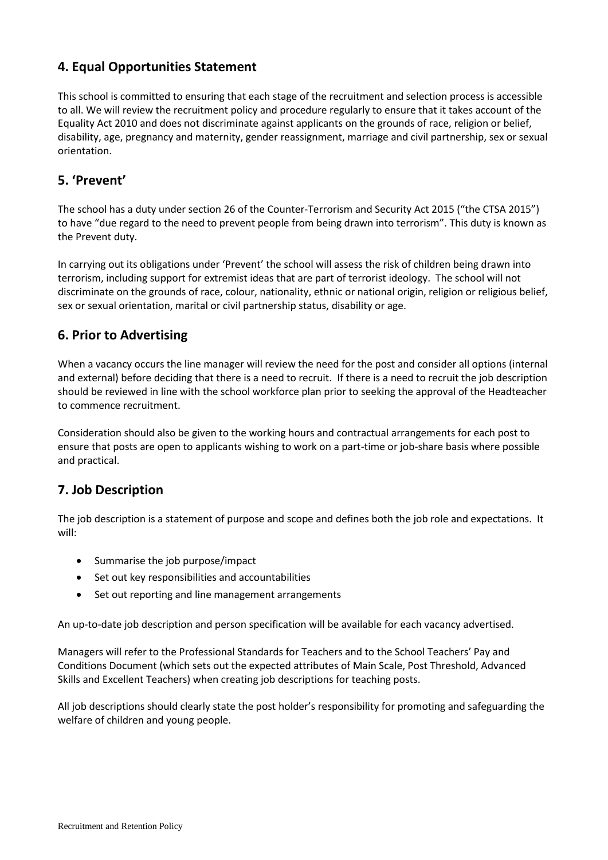# <span id="page-3-0"></span>**4. Equal Opportunities Statement**

This school is committed to ensuring that each stage of the recruitment and selection process is accessible to all. We will review the recruitment policy and procedure regularly to ensure that it takes account of the Equality Act 2010 and does not discriminate against applicants on the grounds of race, religion or belief, disability, age, pregnancy and maternity, gender reassignment, marriage and civil partnership, sex or sexual orientation.

# <span id="page-3-1"></span>**5. 'Prevent'**

The school has a duty under section 26 of the Counter-Terrorism and Security Act 2015 ("the CTSA 2015") to have "due regard to the need to prevent people from being drawn into terrorism". This duty is known as the Prevent duty.

In carrying out its obligations under 'Prevent' the school will assess the risk of children being drawn into terrorism, including support for extremist ideas that are part of terrorist ideology. The school will not discriminate on the grounds of race, colour, nationality, ethnic or national origin, religion or religious belief, sex or sexual orientation, marital or civil partnership status, disability or age.

# <span id="page-3-2"></span>**6. Prior to Advertising**

When a vacancy occurs the line manager will review the need for the post and consider all options (internal and external) before deciding that there is a need to recruit. If there is a need to recruit the job description should be reviewed in line with the school workforce plan prior to seeking the approval of the Headteacher to commence recruitment.

Consideration should also be given to the working hours and contractual arrangements for each post to ensure that posts are open to applicants wishing to work on a part-time or job-share basis where possible and practical.

#### <span id="page-3-3"></span>**7. Job Description**

The job description is a statement of purpose and scope and defines both the job role and expectations. It will:

- Summarise the job purpose/impact
- Set out key responsibilities and accountabilities
- Set out reporting and line management arrangements

An up-to-date job description and person specification will be available for each vacancy advertised.

Managers will refer to the Professional Standards for Teachers and to the School Teachers' Pay and Conditions Document (which sets out the expected attributes of Main Scale, Post Threshold, Advanced Skills and Excellent Teachers) when creating job descriptions for teaching posts.

All job descriptions should clearly state the post holder's responsibility for promoting and safeguarding the welfare of children and young people.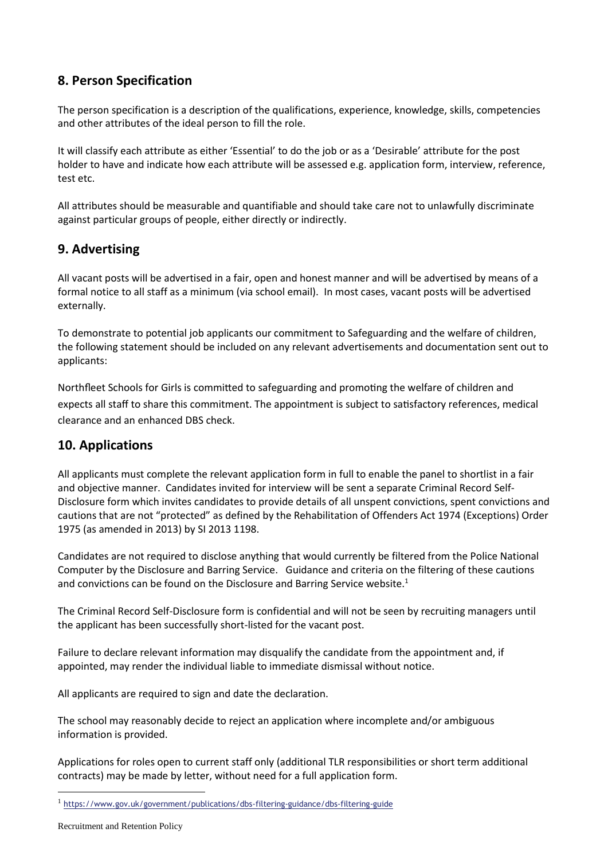# <span id="page-4-0"></span>**8. Person Specification**

The person specification is a description of the qualifications, experience, knowledge, skills, competencies and other attributes of the ideal person to fill the role.

It will classify each attribute as either 'Essential' to do the job or as a 'Desirable' attribute for the post holder to have and indicate how each attribute will be assessed e.g. application form, interview, reference, test etc.

All attributes should be measurable and quantifiable and should take care not to unlawfully discriminate against particular groups of people, either directly or indirectly.

# <span id="page-4-1"></span>**9. Advertising**

All vacant posts will be advertised in a fair, open and honest manner and will be advertised by means of a formal notice to all staff as a minimum (via school email). In most cases, vacant posts will be advertised externally.

To demonstrate to potential job applicants our commitment to Safeguarding and the welfare of children, the following statement should be included on any relevant advertisements and documentation sent out to applicants:

Northfleet Schools for Girls is committed to safeguarding and promoting the welfare of children and expects all staff to share this commitment. The appointment is subject to satisfactory references, medical clearance and an enhanced DBS check.

#### <span id="page-4-2"></span>**10. Applications**

All applicants must complete the relevant application form in full to enable the panel to shortlist in a fair and objective manner. Candidates invited for interview will be sent a separate Criminal Record Self-Disclosure form which invites candidates to provide details of all unspent convictions, spent convictions and cautions that are not "protected" as defined by the Rehabilitation of Offenders Act 1974 (Exceptions) Order 1975 (as amended in 2013) by SI 2013 1198.

Candidates are not required to disclose anything that would currently be filtered from the Police National Computer by the Disclosure and Barring Service. Guidance and criteria on the filtering of these cautions and convictions can be found on the Disclosure and Barring Service website.<sup>1</sup>

The Criminal Record Self-Disclosure form is confidential and will not be seen by recruiting managers until the applicant has been successfully short-listed for the vacant post.

Failure to declare relevant information may disqualify the candidate from the appointment and, if appointed, may render the individual liable to immediate dismissal without notice.

All applicants are required to sign and date the declaration.

The school may reasonably decide to reject an application where incomplete and/or ambiguous information is provided.

Applications for roles open to current staff only (additional TLR responsibilities or short term additional contracts) may be made by letter, without need for a full application form.

<sup>&</sup>lt;sup>1</sup> <https://www.gov.uk/government/publications/dbs-filtering-guidance/dbs-filtering-guide>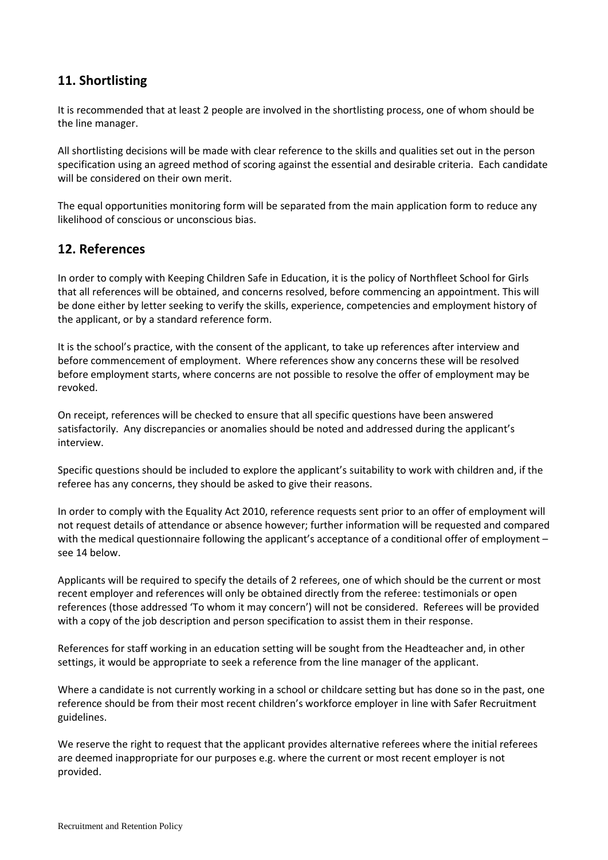# <span id="page-5-0"></span>**11. Shortlisting**

It is recommended that at least 2 people are involved in the shortlisting process, one of whom should be the line manager.

All shortlisting decisions will be made with clear reference to the skills and qualities set out in the person specification using an agreed method of scoring against the essential and desirable criteria. Each candidate will be considered on their own merit.

The equal opportunities monitoring form will be separated from the main application form to reduce any likelihood of conscious or unconscious bias.

#### <span id="page-5-1"></span>**12. References**

In order to comply with Keeping Children Safe in Education, it is the policy of Northfleet School for Girls that all references will be obtained, and concerns resolved, before commencing an appointment. This will be done either by letter seeking to verify the skills, experience, competencies and employment history of the applicant, or by a standard reference form.

It is the school's practice, with the consent of the applicant, to take up references after interview and before commencement of employment. Where references show any concerns these will be resolved before employment starts, where concerns are not possible to resolve the offer of employment may be revoked.

On receipt, references will be checked to ensure that all specific questions have been answered satisfactorily. Any discrepancies or anomalies should be noted and addressed during the applicant's interview.

Specific questions should be included to explore the applicant's suitability to work with children and, if the referee has any concerns, they should be asked to give their reasons.

In order to comply with the Equality Act 2010, reference requests sent prior to an offer of employment will not request details of attendance or absence however; further information will be requested and compared with the medical questionnaire following the applicant's acceptance of a conditional offer of employment – see 14 below.

Applicants will be required to specify the details of 2 referees, one of which should be the current or most recent employer and references will only be obtained directly from the referee: testimonials or open references (those addressed 'To whom it may concern') will not be considered. Referees will be provided with a copy of the job description and person specification to assist them in their response.

References for staff working in an education setting will be sought from the Headteacher and, in other settings, it would be appropriate to seek a reference from the line manager of the applicant.

Where a candidate is not currently working in a school or childcare setting but has done so in the past, one reference should be from their most recent children's workforce employer in line with Safer Recruitment guidelines.

We reserve the right to request that the applicant provides alternative referees where the initial referees are deemed inappropriate for our purposes e.g. where the current or most recent employer is not provided.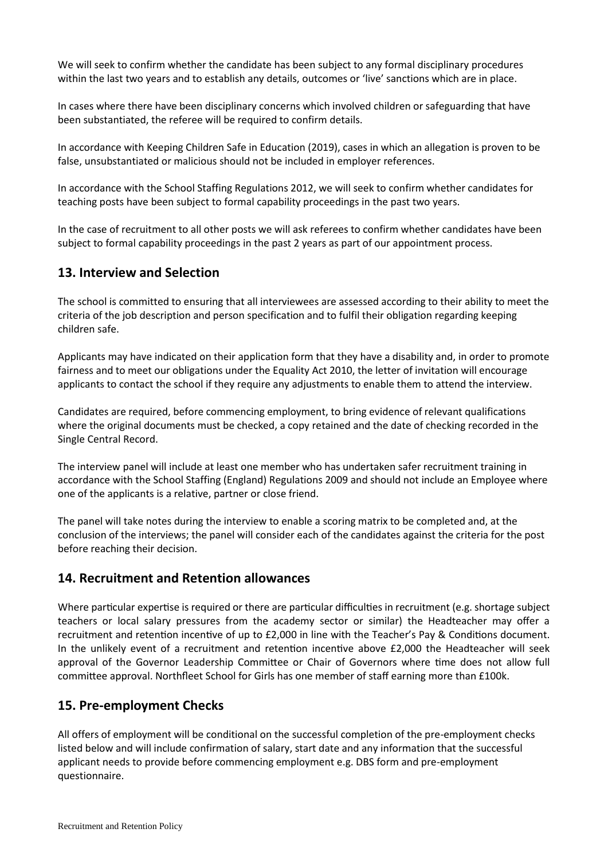We will seek to confirm whether the candidate has been subject to any formal disciplinary procedures within the last two years and to establish any details, outcomes or 'live' sanctions which are in place.

In cases where there have been disciplinary concerns which involved children or safeguarding that have been substantiated, the referee will be required to confirm details.

In accordance with Keeping Children Safe in Education (2019), cases in which an allegation is proven to be false, unsubstantiated or malicious should not be included in employer references.

In accordance with the School Staffing Regulations 2012, we will seek to confirm whether candidates for teaching posts have been subject to formal capability proceedings in the past two years.

In the case of recruitment to all other posts we will ask referees to confirm whether candidates have been subject to formal capability proceedings in the past 2 years as part of our appointment process.

#### <span id="page-6-0"></span>**13. Interview and Selection**

The school is committed to ensuring that all interviewees are assessed according to their ability to meet the criteria of the job description and person specification and to fulfil their obligation regarding keeping children safe.

Applicants may have indicated on their application form that they have a disability and, in order to promote fairness and to meet our obligations under the Equality Act 2010, the letter of invitation will encourage applicants to contact the school if they require any adjustments to enable them to attend the interview.

Candidates are required, before commencing employment, to bring evidence of relevant qualifications where the original documents must be checked, a copy retained and the date of checking recorded in the Single Central Record.

The interview panel will include at least one member who has undertaken safer recruitment training in accordance with the School Staffing (England) Regulations 2009 and should not include an Employee where one of the applicants is a relative, partner or close friend.

The panel will take notes during the interview to enable a scoring matrix to be completed and, at the conclusion of the interviews; the panel will consider each of the candidates against the criteria for the post before reaching their decision.

#### **14. Recruitment and Retention allowances**

Where particular expertise is required or there are particular difficulties in recruitment (e.g. shortage subject teachers or local salary pressures from the academy sector or similar) the Headteacher may offer a recruitment and retention incentive of up to £2,000 in line with the Teacher's Pay & Conditions document. In the unlikely event of a recruitment and retention incentive above £2,000 the Headteacher will seek approval of the Governor Leadership Committee or Chair of Governors where time does not allow full committee approval. Northfleet School for Girls has one member of staff earning more than £100k.

#### <span id="page-6-1"></span>**15. Pre-employment Checks**

All offers of employment will be conditional on the successful completion of the pre-employment checks listed below and will include confirmation of salary, start date and any information that the successful applicant needs to provide before commencing employment e.g. DBS form and pre-employment questionnaire.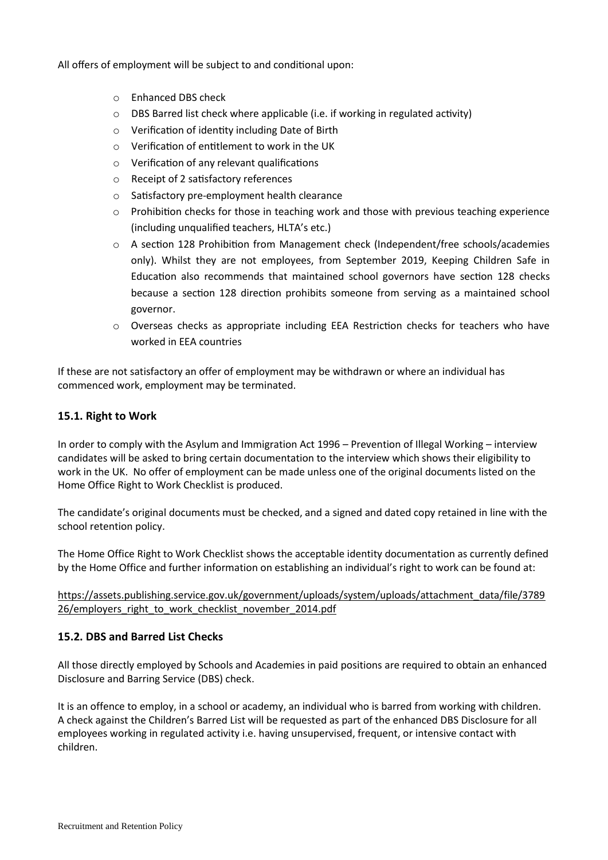All offers of employment will be subject to and conditional upon:

- o Enhanced DBS check
- o DBS Barred list check where applicable (i.e. if working in regulated activity)
- o Verification of identity including Date of Birth
- o Verification of entitlement to work in the UK
- o Verification of any relevant qualifications
- o Receipt of 2 satisfactory references
- o Satisfactory pre-employment health clearance
- $\circ$  Prohibition checks for those in teaching work and those with previous teaching experience (including unqualified teachers, HLTA's etc.)
- o A section 128 Prohibition from Management check (Independent/free schools/academies only). Whilst they are not employees, from September 2019, Keeping Children Safe in Education also recommends that maintained school governors have section 128 checks because a section 128 direction prohibits someone from serving as a maintained school governor.
- o Overseas checks as appropriate including EEA Restriction checks for teachers who have worked in EEA countries

If these are not satisfactory an offer of employment may be withdrawn or where an individual has commenced work, employment may be terminated.

#### <span id="page-7-0"></span>**15.1. Right to Work**

In order to comply with the Asylum and Immigration Act 1996 – Prevention of Illegal Working – interview candidates will be asked to bring certain documentation to the interview which shows their eligibility to work in the UK. No offer of employment can be made unless one of the original documents listed on the Home Office Right to Work Checklist is produced.

The candidate's original documents must be checked, and a signed and dated copy retained in line with the school retention policy.

The Home Office Right to Work Checklist shows the acceptable identity documentation as currently defined by the Home Office and further information on establishing an individual's right to work can be found at:

#### [https://assets.publishing.service.gov.uk/government/uploads/system/uploads/attachment\\_data/file/3789](https://assets.publishing.service.gov.uk/government/uploads/system/uploads/attachment_data/file/378926/employers_right_to_work_checklist_november_2014.pdf) 26/employers right to work checklist november 2014.pdf

#### <span id="page-7-1"></span>**15.2. DBS and Barred List Checks**

All those directly employed by Schools and Academies in paid positions are required to obtain an enhanced Disclosure and Barring Service (DBS) check.

It is an offence to employ, in a school or academy, an individual who is barred from working with children. A check against the Children's Barred List will be requested as part of the enhanced DBS Disclosure for all employees working in regulated activity i.e. having unsupervised, frequent, or intensive contact with children.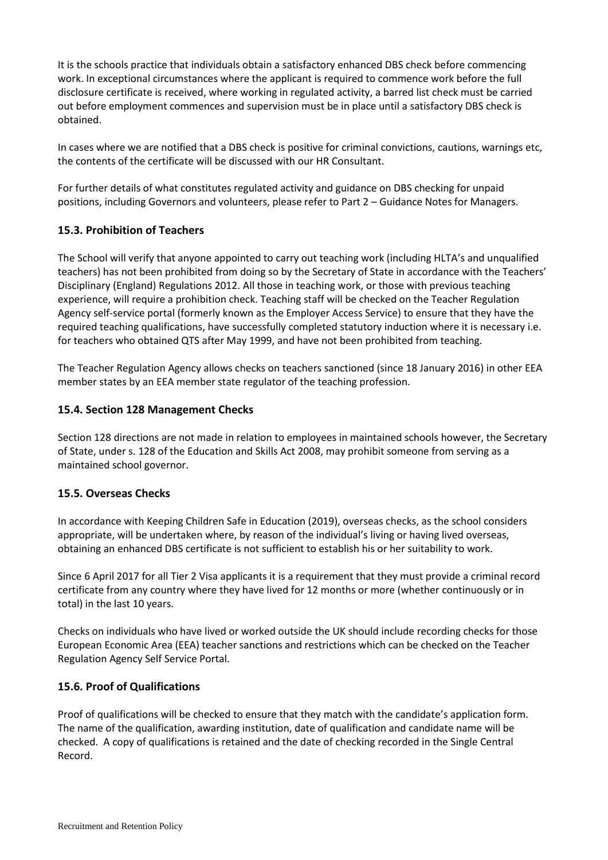It is the schools practice that individuals obtain a satisfactory enhanced DBS check before commencing work. In exceptional circumstances where the applicant is required to commence work before the full disclosure certificate is received, where working in regulated activity, a barred list check must be carried out before employment commences and supervision must be in place until a satisfactory DBS check is obtained.

In cases where we are notified that a DBS check is positive for criminal convictions, cautions, warnings etc, the contents of the certificate will be discussed with our HR Consultant.

For further details of what constitutes regulated activity and guidance on DBS checking for unpaid positions, including Governors and volunteers, please refer to Part 2 – Guidance Notes for Managers.

#### <span id="page-8-0"></span>**15.3. Prohibition of Teachers**

The School will verify that anyone appointed to carry out teaching work (including HLTA's and unqualified teachers) has not been prohibited from doing so by the Secretary of State in accordance with the Teachers' Disciplinary (England) Regulations 2012. All those in teaching work, or those with previous teaching experience, will require a prohibition check. Teaching staff will be checked on the Teacher Regulation Agency self-service portal (formerly known as the Employer Access Service) to ensure that they have the required teaching qualifications, have successfully completed statutory induction where it is necessary i.e. for teachers who obtained QTS after May 1999, and have not been prohibited from teaching.

The Teacher Regulation Agency allows checks on teachers sanctioned (since 18 January 2016) in other EEA member states by an EEA member state regulator of the teaching profession.

#### <span id="page-8-1"></span>**15.4. Section 128 Management Checks**

Section 128 directions are not made in relation to employees in maintained schools however, the Secretary of State, under s. 128 of the Education and Skills Act 2008, may prohibit someone from serving as a maintained school governor.

#### <span id="page-8-2"></span>**15.5. Overseas Checks**

In accordance with Keeping Children Safe in Education (2019), overseas checks, as the school considers appropriate, will be undertaken where, by reason of the individual's living or having lived overseas, obtaining an enhanced DBS certificate is not sufficient to establish his or her suitability to work.

Since 6 April 2017 for all Tier 2 Visa applicants it is a requirement that they must provide a criminal record certificate from any country where they have lived for 12 months or more (whether continuously or in total) in the last 10 years.

Checks on individuals who have lived or worked outside the UK should include recording checks for those European Economic Area (EEA) teacher sanctions and restrictions which can be checked on the Teacher Regulation Agency Self Service Portal.

#### <span id="page-8-3"></span>**15.6. Proof of Qualifications**

Proof of qualifications will be checked to ensure that they match with the candidate's application form. The name of the qualification, awarding institution, date of qualification and candidate name will be checked. A copy of qualifications is retained and the date of checking recorded in the Single Central Record.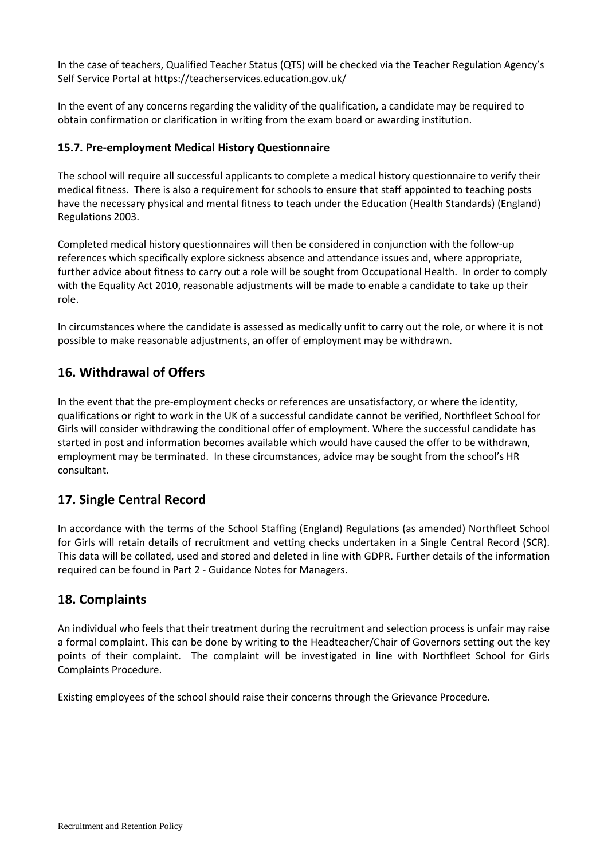In the case of teachers, Qualified Teacher Status (QTS) will be checked via the Teacher Regulation Agency's Self Service Portal at<https://teacherservices.education.gov.uk/>

In the event of any concerns regarding the validity of the qualification, a candidate may be required to obtain confirmation or clarification in writing from the exam board or awarding institution.

#### <span id="page-9-0"></span>**15.7. Pre-employment Medical History Questionnaire**

The school will require all successful applicants to complete a medical history questionnaire to verify their medical fitness. There is also a requirement for schools to ensure that staff appointed to teaching posts have the necessary physical and mental fitness to teach under the Education (Health Standards) (England) Regulations 2003.

Completed medical history questionnaires will then be considered in conjunction with the follow-up references which specifically explore sickness absence and attendance issues and, where appropriate, further advice about fitness to carry out a role will be sought from Occupational Health. In order to comply with the Equality Act 2010, reasonable adjustments will be made to enable a candidate to take up their role.

In circumstances where the candidate is assessed as medically unfit to carry out the role, or where it is not possible to make reasonable adjustments, an offer of employment may be withdrawn.

# <span id="page-9-1"></span>**16. Withdrawal of Offers**

In the event that the pre-employment checks or references are unsatisfactory, or where the identity, qualifications or right to work in the UK of a successful candidate cannot be verified, Northfleet School for Girls will consider withdrawing the conditional offer of employment. Where the successful candidate has started in post and information becomes available which would have caused the offer to be withdrawn, employment may be terminated. In these circumstances, advice may be sought from the school's HR consultant.

# <span id="page-9-2"></span>**17. Single Central Record**

In accordance with the terms of the School Staffing (England) Regulations (as amended) Northfleet School for Girls will retain details of recruitment and vetting checks undertaken in a Single Central Record (SCR). This data will be collated, used and stored and deleted in line with GDPR. Further details of the information required can be found in Part 2 - Guidance Notes for Managers.

#### <span id="page-9-3"></span>**18. Complaints**

An individual who feels that their treatment during the recruitment and selection process is unfair may raise a formal complaint. This can be done by writing to the Headteacher/Chair of Governors setting out the key points of their complaint. The complaint will be investigated in line with Northfleet School for Girls Complaints Procedure.

Existing employees of the school should raise their concerns through the Grievance Procedure.